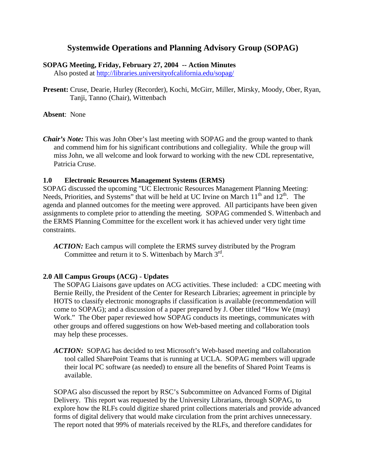# **Systemwide Operations and Planning Advisory Group (SOPAG)**

#### **SOPAG Meeting, Friday, February 27, 2004 -- Action Minutes**

Also posted at<http://libraries.universityofcalifornia.edu/sopag/>

**Present:** Cruse, Dearie, Hurley (Recorder), Kochi, McGirr, Miller, Mirsky, Moody, Ober, Ryan, Tanji, Tanno (Chair), Wittenbach

**Absent**: None

*Chair's Note:* This was John Ober's last meeting with SOPAG and the group wanted to thank and commend him for his significant contributions and collegiality. While the group will miss John, we all welcome and look forward to working with the new CDL representative, Patricia Cruse.

#### **1.0 Electronic Resources Management Systems (ERMS)**

SOPAG discussed the upcoming "UC Electronic Resources Management Planning Meeting: Needs, Priorities, and Systems" that will be held at UC Irvine on March  $11<sup>th</sup>$  and  $12<sup>th</sup>$ . The agenda and planned outcomes for the meeting were approved. All participants have been given assignments to complete prior to attending the meeting. SOPAG commended S. Wittenbach and the ERMS Planning Committee for the excellent work it has achieved under very tight time constraints.

*ACTION:* Each campus will complete the ERMS survey distributed by the Program Committee and return it to S. Wittenbach by March  $3<sup>rd</sup>$ .

### **2.0 All Campus Groups (ACG) - Updates**

The SOPAG Liaisons gave updates on ACG activities. These included: a CDC meeting with Bernie Reilly, the President of the Center for Research Libraries; agreement in principle by HOTS to classify electronic monographs if classification is available (recommendation will come to SOPAG); and a discussion of a paper prepared by J. Ober titled "How We (may) Work." The Ober paper reviewed how SOPAG conducts its meetings, communicates with other groups and offered suggestions on how Web-based meeting and collaboration tools may help these processes.

*ACTION:* SOPAG has decided to test Microsoft's Web-based meeting and collaboration tool called SharePoint Teams that is running at UCLA. SOPAG members will upgrade their local PC software (as needed) to ensure all the benefits of Shared Point Teams is available.

SOPAG also discussed the report by RSC's Subcommittee on Advanced Forms of Digital Delivery. This report was requested by the University Librarians, through SOPAG, to explore how the RLFs could digitize shared print collections materials and provide advanced forms of digital delivery that would make circulation from the print archives unnecessary. The report noted that 99% of materials received by the RLFs, and therefore candidates for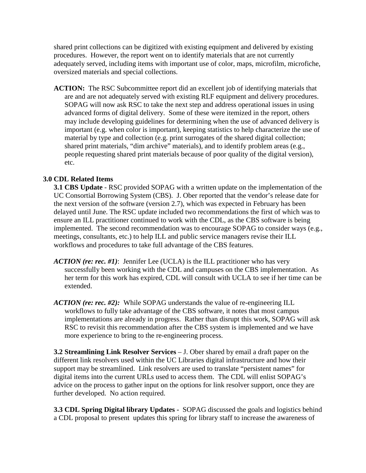shared print collections can be digitized with existing equipment and delivered by existing procedures. However, the report went on to identify materials that are not currently adequately served, including items with important use of color, maps, microfilm, microfiche, oversized materials and special collections.

ACTION: The RSC Subcommittee report did an excellent job of identifying materials that are and are not adequately served with existing RLF equipment and delivery procedures. SOPAG will now ask RSC to take the next step and address operational issues in using advanced forms of digital delivery. Some of these were itemized in the report, others may include developing guidelines for determining when the use of advanced delivery is important (e.g. when color is important), keeping statistics to help characterize the use of material by type and collection (e.g. print surrogates of the shared digital collection; shared print materials, "dim archive" materials), and to identify problem areas (e.g., people requesting shared print materials because of poor quality of the digital version), etc.

## **3.0 CDL Related Items**

**3.1 CBS Update** - RSC provided SOPAG with a written update on the implementation of the UC Consortial Borrowing System (CBS). J. Ober reported that the vendor's release date for the next version of the software (version 2.7), which was expected in February has been delayed until June. The RSC update included two recommendations the first of which was to ensure an ILL practitioner continued to work with the CDL, as the CBS software is being implemented. The second recommendation was to encourage SOPAG to consider ways (e.g., meetings, consultants, etc.) to help ILL and public service managers revise their ILL workflows and procedures to take full advantage of the CBS features.

- *ACTION (re: rec. #1)*: Jennifer Lee (UCLA) is the ILL practitioner who has very successfully been working with the CDL and campuses on the CBS implementation. As her term for this work has expired, CDL will consult with UCLA to see if her time can be extended.
- *ACTION (re: rec. #2):* While SOPAG understands the value of re-engineering ILL workflows to fully take advantage of the CBS software, it notes that most campus implementations are already in progress. Rather than disrupt this work, SOPAG will ask RSC to revisit this recommendation after the CBS system is implemented and we have more experience to bring to the re-engineering process.

**3.2 Streamlining Link Resolver Services** – J. Ober shared by email a draft paper on the different link resolvers used within the UC Libraries digital infrastructure and how their support may be streamlined. Link resolvers are used to translate "persistent names" for digital items into the current URLs used to access them. The CDL will enlist SOPAG's advice on the process to gather input on the options for link resolver support, once they are further developed. No action required.

**3.3 CDL Spring Digital library Updates -** SOPAG discussed the goals and logistics behind a CDL proposal to present updates this spring for library staff to increase the awareness of